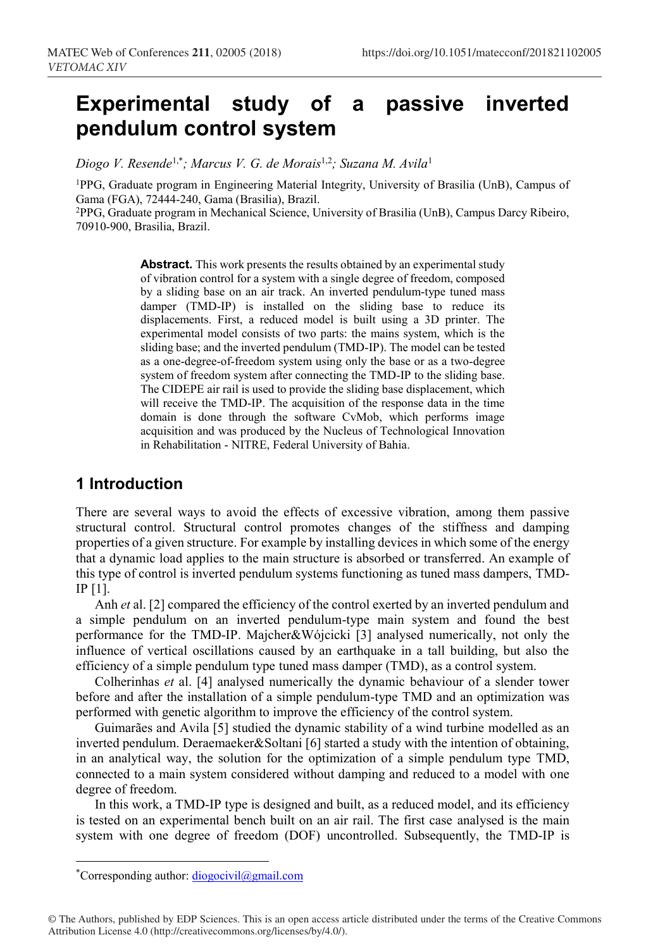# **Experimental study of a passive inverted pendulum control system**

*Diogo V. Resende*1,\* *; Marcus V. G. de Morais*1,2*; Suzana M. Avila*<sup>1</sup>

1PPG, Graduate program in Engineering Material Integrity, University of Brasilia (UnB), Campus of Gama (FGA), 72444-240, Gama (Brasilia), Brazil.

2PPG, Graduate program in Mechanical Science, University of Brasilia (UnB), Campus Darcy Ribeiro, 70910-900, Brasilia, Brazil.

> **Abstract.** This work presents the results obtained by an experimental study of vibration control for a system with a single degree of freedom, composed by a sliding base on an air track. An inverted pendulum-type tuned mass damper (TMD-IP) is installed on the sliding base to reduce its displacements. First, a reduced model is built using a 3D printer. The experimental model consists of two parts: the mains system, which is the sliding base; and the inverted pendulum (TMD-IP). The model can be tested as a one-degree-of-freedom system using only the base or as a two-degree system of freedom system after connecting the TMD-IP to the sliding base. The CIDEPE air rail is used to provide the sliding base displacement, which will receive the TMD-IP. The acquisition of the response data in the time domain is done through the software CvMob, which performs image acquisition and was produced by the Nucleus of Technological Innovation in Rehabilitation - NITRE, Federal University of Bahia.

### **1 Introduction**

There are several ways to avoid the effects of excessive vibration, among them passive structural control. Structural control promotes changes of the stiffness and damping properties of a given structure. For example by installing devices in which some of the energy that a dynamic load applies to the main structure is absorbed or transferred. An example of this type of control is inverted pendulum systems functioning as tuned mass dampers, TMD-IP [1].

Anh *et* al. [2] compared the efficiency of the control exerted by an inverted pendulum and a simple pendulum on an inverted pendulum-type main system and found the best performance for the TMD-IP. Majcher&Wójcicki [3] analysed numerically, not only the influence of vertical oscillations caused by an earthquake in a tall building, but also the efficiency of a simple pendulum type tuned mass damper (TMD), as a control system.

Colherinhas *et* al. [4] analysed numerically the dynamic behaviour of a slender tower before and after the installation of a simple pendulum-type TMD and an optimization was performed with genetic algorithm to improve the efficiency of the control system.

Guimarães and Avila [5] studied the dynamic stability of a wind turbine modelled as an inverted pendulum. Deraemaeker&Soltani [6] started a study with the intention of obtaining, in an analytical way, the solution for the optimization of a simple pendulum type TMD, connected to a main system considered without damping and reduced to a model with one degree of freedom.

In this work, a TMD-IP type is designed and built, as a reduced model, and its efficiency is tested on an experimental bench built on an air rail. The first case analysed is the main system with one degree of freedom (DOF) uncontrolled. Subsequently, the TMD-IP is

 $\overline{a}$ 

<sup>\*</sup> Corresponding author: diogocivil@gmail.com

<sup>©</sup> The Authors, published by EDP Sciences. This is an open access article distributed under the terms of the Creative Commons Attribution License 4.0 (http://creativecommons.org/licenses/by/4.0/).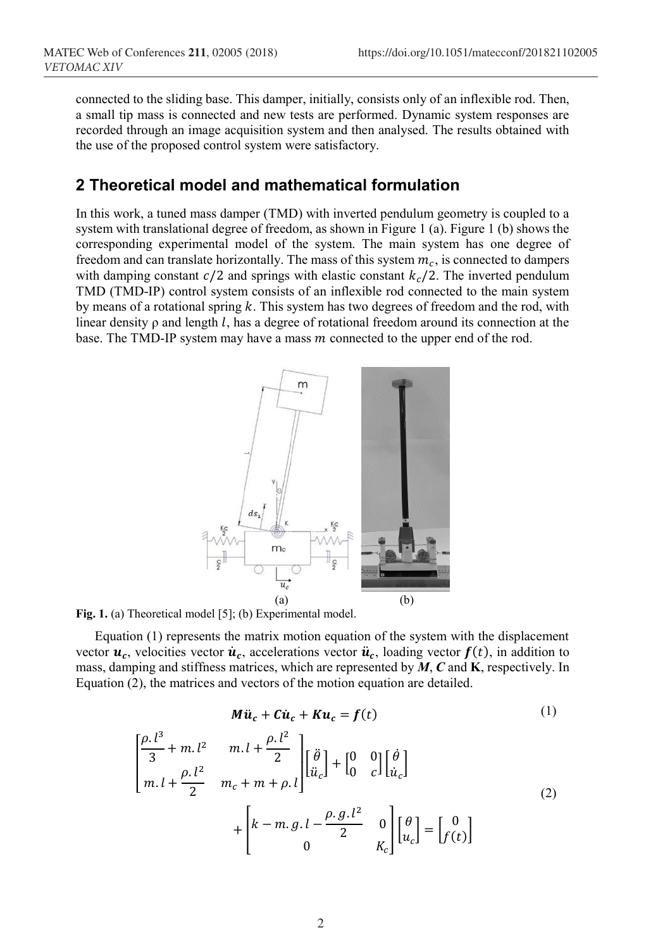connected to the sliding base. This damper, initially, consists only of an inflexible rod. Then, a small tip mass is connected and new tests are performed. Dynamic system responses are recorded through an image acquisition system and then analysed. The results obtained with the use of the proposed control system were satisfactory.

### **2 Theoretical model and mathematical formulation**

In this work, a tuned mass damper (TMD) with inverted pendulum geometry is coupled to a system with translational degree of freedom, as shown in Figure 1 (a). Figure 1 (b) shows the corresponding experimental model of the system. The main system has one degree of freedom and can translate horizontally. The mass of this system  $m_c$ , is connected to dampers with damping constant  $c/2$  and springs with elastic constant  $k_c/2$ . The inverted pendulum TMD (TMD-IP) control system consists of an inflexible rod connected to the main system by means of a rotational spring  $k$ . This system has two degrees of freedom and the rod, with linear density  $\rho$  and length l, has a degree of rotational freedom around its connection at the base. The TMD-IP system may have a mass  $m$  connected to the upper end of the rod.



Fig. 1. (a) Theoretical model [5]; (b) Experimental model.

Equation (1) represents the matrix motion equation of the system with the displacement vector  $u_c$ , velocities vector  $\dot{u}_c$ , accelerations vector  $\ddot{u}_c$ , loading vector  $f(t)$ , in addition to mass, damping and stiffness matrices, which are represented by *M*, *C* and **K**, respectively. In Equation (2), the matrices and vectors of the motion equation are detailed.

̈ + ̇ <sup>+</sup> <sup>=</sup> () (1) [ . 3 <sup>3</sup> <sup>+</sup> . <sup>2</sup> . <sup>+</sup> . 2 2 . <sup>+</sup> . 2 <sup>2</sup> <sup>+</sup> <sup>+</sup> . ] [ ̈ ̈ ] + [ 0 0 0 ][ ̇ ̇ ] + [ <sup>−</sup> . . <sup>−</sup> . . 2 <sup>2</sup> <sup>0</sup> 0 ] [ ] <sup>=</sup> [ <sup>0</sup> () ] (2)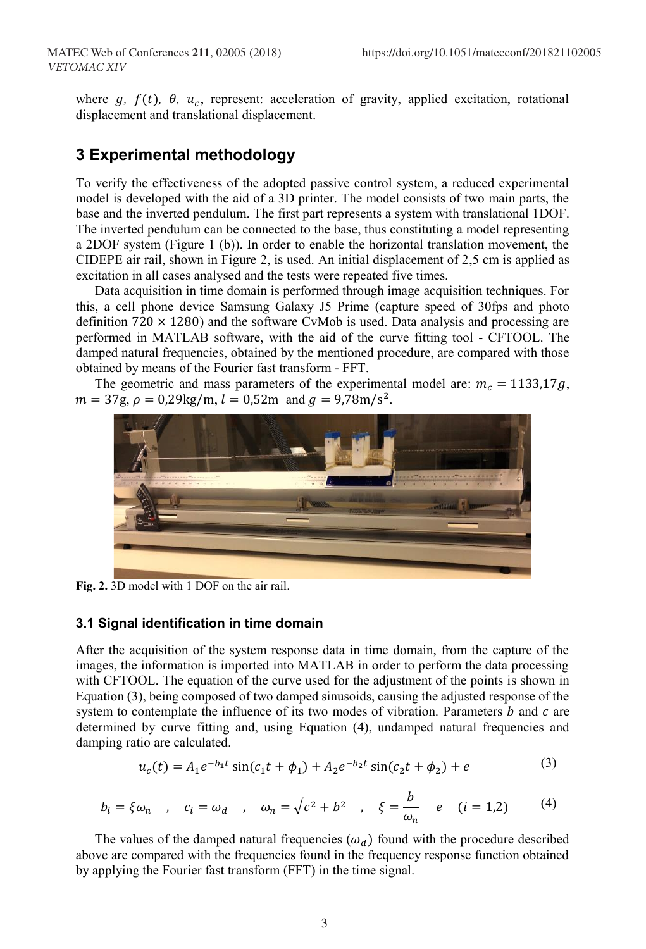where  $g, f(t), \theta, u_c$ , represent: acceleration of gravity, applied excitation, rotational displacement and translational displacement.

### **3 Experimental methodology**

To verify the effectiveness of the adopted passive control system, a reduced experimental model is developed with the aid of a 3D printer. The model consists of two main parts, the base and the inverted pendulum. The first part represents a system with translational 1DOF. The inverted pendulum can be connected to the base, thus constituting a model representing a 2DOF system (Figure 1 (b)). In order to enable the horizontal translation movement, the CIDEPE air rail, shown in Figure 2, is used. An initial displacement of 2,5 cm is applied as excitation in all cases analysed and the tests were repeated five times.

Data acquisition in time domain is performed through image acquisition techniques. For this, a cell phone device Samsung Galaxy J5 Prime (capture speed of 30fps and photo definition  $720 \times 1280$ ) and the software CvMob is used. Data analysis and processing are performed in MATLAB software, with the aid of the curve fitting tool - CFTOOL. The damped natural frequencies, obtained by the mentioned procedure, are compared with those obtained by means of the Fourier fast transform - FFT.

The geometric and mass parameters of the experimental model are:  $m_c = 1133,17g$ ,  $m = 37g$ ,  $\rho = 0.29\text{kg/m}$ ,  $l = 0.52\text{m}$  and  $q = 9.78\text{m/s}^2$ .



**Fig. 2.** 3D model with 1 DOF on the air rail.

#### **3.1 Signal identification in time domain**

After the acquisition of the system response data in time domain, from the capture of the images, the information is imported into MATLAB in order to perform the data processing with CFTOOL. The equation of the curve used for the adjustment of the points is shown in Equation (3), being composed of two damped sinusoids, causing the adjusted response of the system to contemplate the influence of its two modes of vibration. Parameters  $b$  and  $c$  are determined by curve fitting and, using Equation (4), undamped natural frequencies and damping ratio are calculated.

$$
u_c(t) = A_1 e^{-b_1 t} \sin(c_1 t + \phi_1) + A_2 e^{-b_2 t} \sin(c_2 t + \phi_2) + e
$$
 (3)

$$
b_i = \xi \omega_n
$$
,  $c_i = \omega_d$ ,  $\omega_n = \sqrt{c^2 + b^2}$ ,  $\xi = \frac{b}{\omega_n}$  e  $(i = 1,2)$  (4)

The values of the damped natural frequencies  $(\omega_d)$  found with the procedure described above are compared with the frequencies found in the frequency response function obtained by applying the Fourier fast transform (FFT) in the time signal.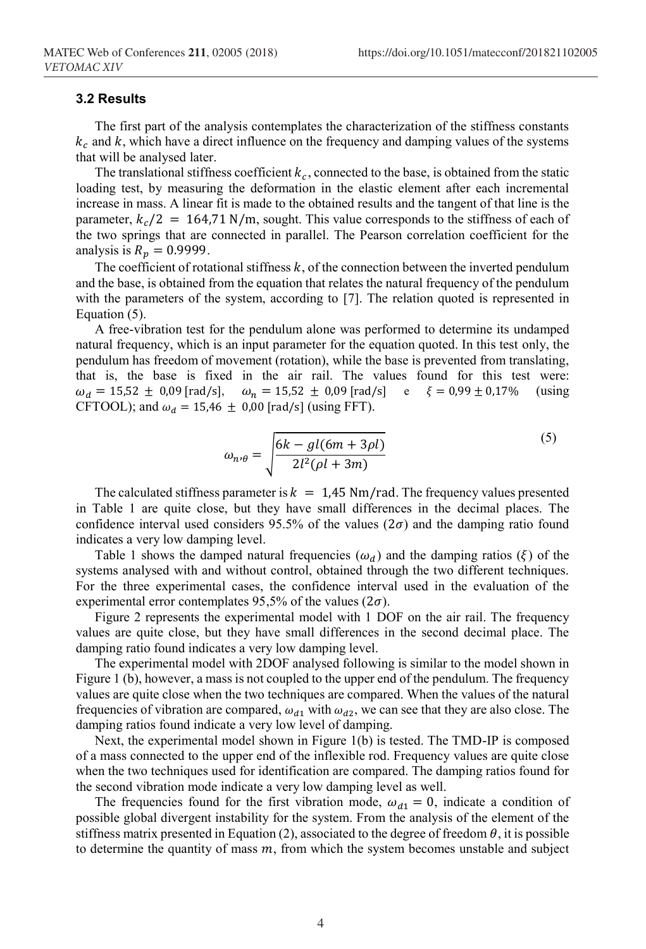#### **3.2 Results**

The first part of the analysis contemplates the characterization of the stiffness constants  $k_c$  and k, which have a direct influence on the frequency and damping values of the systems that will be analysed later.

The translational stiffness coefficient  $k_c$ , connected to the base, is obtained from the static loading test, by measuring the deformation in the elastic element after each incremental increase in mass. A linear fit is made to the obtained results and the tangent of that line is the parameter,  $k_c/2 = 164.71$  N/m, sought. This value corresponds to the stiffness of each of the two springs that are connected in parallel. The Pearson correlation coefficient for the analysis is  $R_n = 0.9999$ .

The coefficient of rotational stiffness  $k$ , of the connection between the inverted pendulum and the base, is obtained from the equation that relates the natural frequency of the pendulum with the parameters of the system, according to [7]. The relation quoted is represented in Equation (5).

A free-vibration test for the pendulum alone was performed to determine its undamped natural frequency, which is an input parameter for the equation quoted. In this test only, the pendulum has freedom of movement (rotation), while the base is prevented from translating, that is, the base is fixed in the air rail. The values found for this test were:  $\omega_d = 15,52 \pm 0.09$  [rad/s],  $\omega_n = 15,52 \pm 0.09$  [rad/s] e  $\xi = 0.99 \pm 0.17\%$  (using CFTOOL); and  $\omega_d = 15,46 \pm 0,00$  [rad/s] (using FFT).

$$
\omega_{n\prime\theta} = \sqrt{\frac{6k - gl(6m + 3\rho l)}{2l^2(\rho l + 3m)}}
$$
\n(5)

The calculated stiffness parameter is  $k = 1.45$  Nm/rad. The frequency values presented in Table 1 are quite close, but they have small differences in the decimal places. The confidence interval used considers 95.5% of the values ( $2\sigma$ ) and the damping ratio found indicates a very low damping level.

Table 1 shows the damped natural frequencies  $(\omega_d)$  and the damping ratios ( $\xi$ ) of the systems analysed with and without control, obtained through the two different techniques. For the three experimental cases, the confidence interval used in the evaluation of the experimental error contemplates 95,5% of the values ( $2\sigma$ ).

Figure 2 represents the experimental model with 1 DOF on the air rail. The frequency values are quite close, but they have small differences in the second decimal place. The damping ratio found indicates a very low damping level.

The experimental model with 2DOF analysed following is similar to the model shown in Figure 1 (b), however, a mass is not coupled to the upper end of the pendulum. The frequency values are quite close when the two techniques are compared. When the values of the natural frequencies of vibration are compared,  $\omega_{d1}$  with  $\omega_{d2}$ , we can see that they are also close. The damping ratios found indicate a very low level of damping.

Next, the experimental model shown in Figure 1(b) is tested. The TMD-IP is composed of a mass connected to the upper end of the inflexible rod. Frequency values are quite close when the two techniques used for identification are compared. The damping ratios found for the second vibration mode indicate a very low damping level as well.

The frequencies found for the first vibration mode,  $\omega_{d1} = 0$ , indicate a condition of possible global divergent instability for the system. From the analysis of the element of the stiffness matrix presented in Equation (2), associated to the degree of freedom  $\theta$ , it is possible to determine the quantity of mass  $m$ , from which the system becomes unstable and subject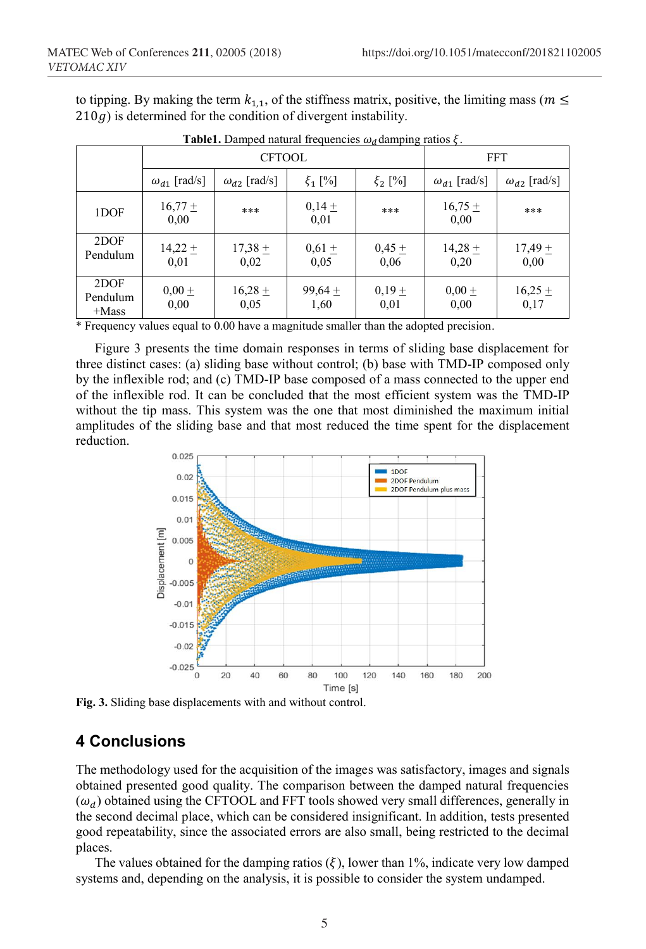to tipping. By making the term  $k_{1,1}$ , of the stiffness matrix, positive, the limiting mass ( $m \leq$  $210g$ ) is determined for the condition of divergent instability.

|                             | $\boldsymbol{\mu}$    |                       |                    |                  |                       |                       |  |
|-----------------------------|-----------------------|-----------------------|--------------------|------------------|-----------------------|-----------------------|--|
|                             | <b>CFTOOL</b>         |                       |                    |                  | <b>FFT</b>            |                       |  |
|                             | $\omega_{d1}$ [rad/s] | $\omega_{d2}$ [rad/s] | $\xi_1$ [%]        | $\xi_2$ [%]      | $\omega_{d1}$ [rad/s] | $\omega_{d2}$ [rad/s] |  |
| 1DOF                        | $16,77 +$<br>0.00     | ***                   | $0,14 +$<br>0,01   | ***              | $16,75 +$<br>0.00     | ***                   |  |
| 2DOF<br>Pendulum            | $14,22 +$<br>0.01     | $17,38 +$<br>0.02     | $0,61 \pm$<br>0.05 | $0,45 +$<br>0.06 | $14,28 +$<br>0,20     | $17,49 +$<br>0.00     |  |
| 2DOF<br>Pendulum<br>$+Mass$ | $0,00 +$<br>0,00      | $16,28 +$<br>0,05     | $99,64 +$<br>1,60  | $0,19 +$<br>0,01 | $0,00 +$<br>0,00      | $16,25 +$<br>0,17     |  |

**Table1.** Damped natural frequencies  $\omega_d$  damping ratios  $\xi$ .

\* Frequency values equal to 0.00 have a magnitude smaller than the adopted precision.

Figure 3 presents the time domain responses in terms of sliding base displacement for three distinct cases: (a) sliding base without control; (b) base with TMD-IP composed only by the inflexible rod; and (c) TMD-IP base composed of a mass connected to the upper end of the inflexible rod. It can be concluded that the most efficient system was the TMD-IP without the tip mass. This system was the one that most diminished the maximum initial amplitudes of the sliding base and that most reduced the time spent for the displacement reduction.



**Fig. 3.** Sliding base displacements with and without control.

## **4 Conclusions**

The methodology used for the acquisition of the images was satisfactory, images and signals obtained presented good quality. The comparison between the damped natural frequencies  $(\omega_d)$  obtained using the CFTOOL and FFT tools showed very small differences, generally in the second decimal place, which can be considered insignificant. In addition, tests presented good repeatability, since the associated errors are also small, being restricted to the decimal places.

The values obtained for the damping ratios  $(\xi)$ , lower than 1%, indicate very low damped systems and, depending on the analysis, it is possible to consider the system undamped.